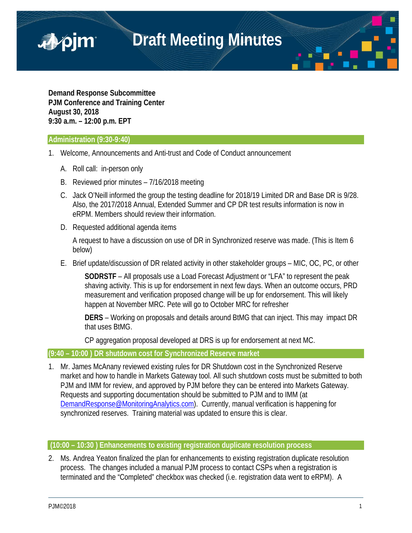

**Demand Response Subcommittee PJM Conference and Training Center August 30, 2018 9:30 a.m. – 12:00 p.m. EPT**

#### **Administration (9:30-9:40)**

■pjm

- 1. Welcome, Announcements and Anti-trust and Code of Conduct announcement
	- A. Roll call: in-person only
	- B. Reviewed prior minutes 7/16/2018 meeting
	- C. Jack O'Neill informed the group the testing deadline for 2018/19 Limited DR and Base DR is 9/28. Also, the 2017/2018 Annual, Extended Summer and CP DR test results information is now in eRPM. Members should review their information.
	- D. Requested additional agenda items

A request to have a discussion on use of DR in Synchronized reserve was made. (This is Item 6 below)

E. Brief update/discussion of DR related activity in other stakeholder groups – MIC, OC, PC, or other

**SODRSTF** – All proposals use a Load Forecast Adjustment or "LFA" to represent the peak shaving activity. This is up for endorsement in next few days. When an outcome occurs, PRD measurement and verification proposed change will be up for endorsement. This will likely happen at November MRC. Pete will go to October MRC for refresher

**DERS** – Working on proposals and details around BtMG that can inject. This may impact DR that uses BtMG.

CP aggregation proposal developed at DRS is up for endorsement at next MC.

#### **(9:40 – 10:00 ) DR shutdown cost for Synchronized Reserve market**

1. Mr. James McAnany reviewed existing rules for DR Shutdown cost in the Synchronized Reserve market and how to handle in Markets Gateway tool. All such shutdown costs must be submitted to both PJM and IMM for review, and approved by PJM before they can be entered into Markets Gateway. Requests and supporting documentation should be submitted to PJM and to IMM (at [DemandResponse@MonitoringAnalytics.com\)](mailto:DemandResponse@MonitoringAnalytics.com). Currently, manual verification is happening for synchronized reserves. Training material was updated to ensure this is clear.

# **(10:00 – 10:30 ) Enhancements to existing registration duplicate resolution process**

2. Ms. Andrea Yeaton finalized the plan for enhancements to existing registration duplicate resolution process. The changes included a manual PJM process to contact CSPs when a registration is terminated and the "Completed" checkbox was checked (i.e. registration data went to eRPM). A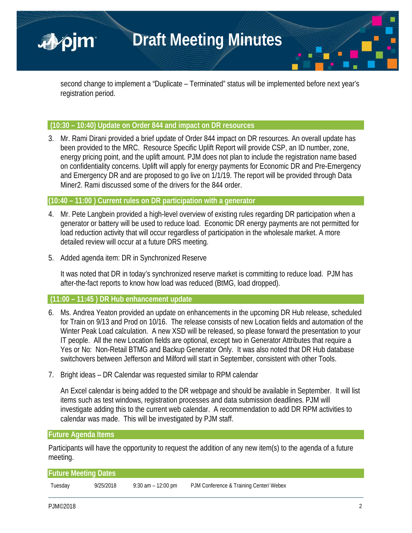

second change to implement a "Duplicate – Terminated" status will be implemented before next year's registration period.

#### **(10:30 – 10:40) Update on Order 844 and impact on DR resources**

3. Mr. Rami Dirani provided a brief update of Order 844 impact on DR resources. An overall update has been provided to the MRC. Resource Specific Uplift Report will provide CSP, an ID number, zone, energy pricing point, and the uplift amount. PJM does not plan to include the registration name based on confidentiality concerns. Uplift will apply for energy payments for Economic DR and Pre-Emergency and Emergency DR and are proposed to go live on 1/1/19. The report will be provided through Data Miner2. Rami discussed some of the drivers for the 844 order.

#### **(10:40 – 11:00 ) Current rules on DR participation with a generator**

- 4. Mr. Pete Langbein provided a high-level overview of existing rules regarding DR participation when a generator or battery will be used to reduce load. Economic DR energy payments are not permitted for load reduction activity that will occur regardless of participation in the wholesale market. A more detailed review will occur at a future DRS meeting.
- 5. Added agenda item: DR in Synchronized Reserve

It was noted that DR in today's synchronized reserve market is committing to reduce load. PJM has after-the-fact reports to know how load was reduced (BtMG, load dropped).

### **(11:00 – 11:45 ) DR Hub enhancement update**

- 6. Ms. Andrea Yeaton provided an update on enhancements in the upcoming DR Hub release, scheduled for Train on 9/13 and Prod on 10/16. The release consists of new Location fields and automation of the Winter Peak Load calculation. A new XSD will be released, so please forward the presentation to your IT people. All the new Location fields are optional, except two in Generator Attributes that require a Yes or No: Non-Retail BTMG and Backup Generator Only. It was also noted that DR Hub database switchovers between Jefferson and Milford will start in September, consistent with other Tools.
- 7. Bright ideas DR Calendar was requested similar to RPM calendar

An Excel calendar is being added to the DR webpage and should be available in September. It will list items such as test windows, registration processes and data submission deadlines. PJM will investigate adding this to the current web calendar. A recommendation to add DR RPM activities to calendar was made. This will be investigated by PJM staff.

### **Future Agenda Items**

Participants will have the opportunity to request the addition of any new item(s) to the agenda of a future meeting.

| <b>Future Meeting Dates</b> |           |                    |                                         |  |
|-----------------------------|-----------|--------------------|-----------------------------------------|--|
| Tuesday                     | 9/25/2018 | 9:30 am - 12:00 pm | PJM Conference & Training Center/ Webex |  |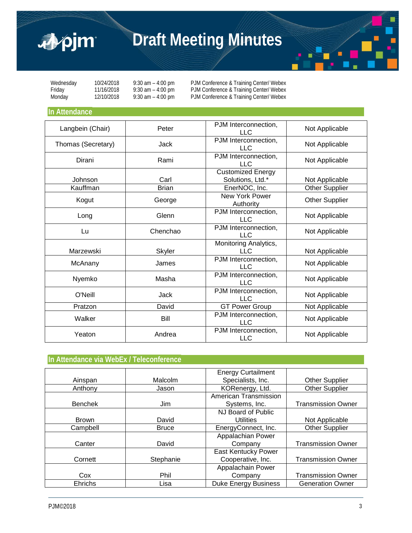

# **Draft Meeting Minutes**



Wednesday 10/24/2018 9:30 am – 4:00 pm PJM Conference & Training Center/ Webex<br>Friday 11/16/2018 9:30 am – 4:00 pm PJM Conference & Training Center/ Webex Friday 11/16/2018 9:30 am – 4:00 pm PJM Conference & Training Center/ Webex<br>Monday 12/10/2018 9:30 am – 4:00 pm PJM Conference & Training Center/ Webex PJM Conference & Training Center/ Webex

## **In Attendance**

| Langbein (Chair)   | Peter        | PJM Interconnection,<br>LLC                  | Not Applicable        |
|--------------------|--------------|----------------------------------------------|-----------------------|
| Thomas (Secretary) | Jack         | PJM Interconnection,<br><b>LLC</b>           | Not Applicable        |
| Dirani             | Rami         | PJM Interconnection,<br><b>LLC</b>           | Not Applicable        |
| Johnson            | Carl         | <b>Customized Energy</b><br>Solutions, Ltd.* | Not Applicable        |
| Kauffman           | <b>Brian</b> | EnerNOC, Inc.                                | <b>Other Supplier</b> |
| Kogut              | George       | New York Power<br>Authority                  | <b>Other Supplier</b> |
| Long               | Glenn        | PJM Interconnection,<br><b>LLC</b>           | Not Applicable        |
| Lu                 | Chenchao     | PJM Interconnection,<br><b>LLC</b>           | Not Applicable        |
| Marzewski          | Skyler       | Monitoring Analytics,<br><b>LLC</b>          | Not Applicable        |
| McAnany            | James        | PJM Interconnection,<br>LLC.                 | Not Applicable        |
| Nyemko             | Masha        | PJM Interconnection,<br><b>LLC</b>           | Not Applicable        |
| O'Neill            | <b>Jack</b>  | PJM Interconnection,<br><b>LLC</b>           | Not Applicable        |
| Pratzon            | David        | <b>GT Power Group</b>                        | Not Applicable        |
| Walker             | Bill         | PJM Interconnection,<br><b>LLC</b>           | Not Applicable        |
| Yeaton             | Andrea       | PJM Interconnection,<br>LLC                  | Not Applicable        |

# **In Attendance via WebEx / Teleconference**

|                |              | <b>Energy Curtailment</b>   |                           |
|----------------|--------------|-----------------------------|---------------------------|
| Ainspan        | Malcolm      | Specialists, Inc.           | <b>Other Supplier</b>     |
| Anthony        | Jason        | KORenergy, Ltd.             | <b>Other Supplier</b>     |
|                |              | American Transmission       |                           |
| <b>Benchek</b> | Jim          | Systems, Inc.               | <b>Transmission Owner</b> |
|                |              | NJ Board of Public          |                           |
| <b>Brown</b>   | David        | <b>Utilities</b>            | Not Applicable            |
| Campbell       | <b>Bruce</b> | EnergyConnect, Inc.         | <b>Other Supplier</b>     |
|                |              | Appalachian Power           |                           |
| Canter         | David        | Company                     | <b>Transmission Owner</b> |
|                |              | East Kentucky Power         |                           |
| Cornett        | Stephanie    | Cooperative, Inc.           | <b>Transmission Owner</b> |
|                |              | Appalachain Power           |                           |
| Cox            | Phil         | Company                     | <b>Transmission Owner</b> |
| Ehrichs        | Lisa         | <b>Duke Energy Business</b> | <b>Generation Owner</b>   |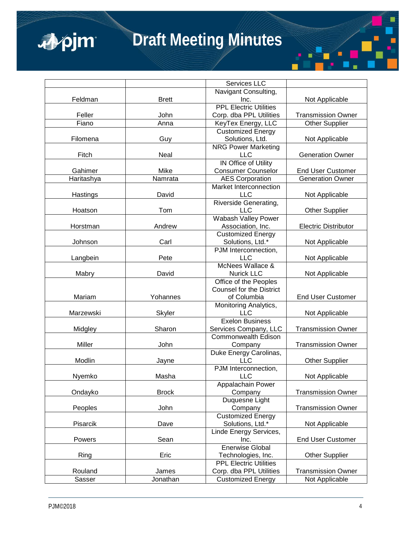

# **Draft Meeting Minutes**

| Navigant Consulting,<br>Feldman<br><b>Brett</b><br>Inc.<br>Not Applicable<br><b>PPL Electric Utilities</b><br>Feller<br>John<br>Corp. dba PPL Utilities<br><b>Transmission Owner</b><br>Fiano<br>Anna<br>KeyTex Energy, LLC<br><b>Other Supplier</b><br><b>Customized Energy</b><br>Filomena<br>Guy<br>Solutions, Ltd.<br>Not Applicable<br><b>NRG Power Marketing</b><br>Fitch<br><b>LLC</b><br>Neal<br><b>Generation Owner</b><br><b>IN Office of Utility</b><br>Mike<br>Gahimer<br><b>Consumer Counselor</b><br><b>End User Customer</b><br><b>AES Corporation</b><br><b>Generation Owner</b><br>Namrata<br>Haritashya<br>Market Interconnection<br><b>LLC</b><br>Hastings<br>David<br>Not Applicable<br>Riverside Generating,<br>Tom<br><b>LLC</b><br>Hoatson<br><b>Other Supplier</b><br><b>Wabash Valley Power</b><br>Association, Inc.<br><b>Electric Distributor</b><br>Andrew<br>Horstman<br><b>Customized Energy</b><br>Solutions, Ltd.*<br>Johnson<br>Carl<br>Not Applicable<br>PJM Interconnection,<br>Langbein<br>Pete<br><b>LLC</b><br>Not Applicable<br>McNees Wallace &<br>Mabry<br>David<br><b>Nurick LLC</b><br>Not Applicable<br>Office of the Peoples<br><b>Counsel for the District</b><br>Mariam<br>of Columbia<br><b>End User Customer</b><br>Yohannes<br>Monitoring Analytics,<br><b>LLC</b><br>Marzewski<br><b>Skyler</b><br>Not Applicable<br><b>Exelon Business</b><br>Sharon<br>Midgley<br>Services Company, LLC<br><b>Transmission Owner</b><br><b>Commonwealth Edison</b><br>Miller<br>John<br><b>Transmission Owner</b><br>Company<br>Duke Energy Carolinas,<br>Modlin<br><b>LLC</b><br><b>Other Supplier</b><br>Jayne<br>PJM Interconnection,<br><b>LLC</b><br>Nyemko<br>Masha<br>Not Applicable<br>Appalachain Power<br><b>Brock</b><br><b>Transmission Owner</b><br>Ondayko<br>Company<br>Duquesne Light<br>Peoples<br>John<br>Company<br><b>Transmission Owner</b><br><b>Customized Energy</b><br>Pisarcik<br>Dave<br>Solutions, Ltd.*<br>Not Applicable<br>Linde Energy Services,<br>Powers<br>Sean<br><b>End User Customer</b><br>Inc.<br><b>Enerwise Global</b><br>Ring<br>Eric<br><b>Other Supplier</b><br>Technologies, Inc.<br><b>PPL Electric Utilities</b><br>Rouland<br>Corp. dba PPL Utilities<br><b>Transmission Owner</b><br>James<br>Sasser<br><b>Customized Energy</b><br>Not Applicable<br>Jonathan |  | Services LLC |  |
|-------------------------------------------------------------------------------------------------------------------------------------------------------------------------------------------------------------------------------------------------------------------------------------------------------------------------------------------------------------------------------------------------------------------------------------------------------------------------------------------------------------------------------------------------------------------------------------------------------------------------------------------------------------------------------------------------------------------------------------------------------------------------------------------------------------------------------------------------------------------------------------------------------------------------------------------------------------------------------------------------------------------------------------------------------------------------------------------------------------------------------------------------------------------------------------------------------------------------------------------------------------------------------------------------------------------------------------------------------------------------------------------------------------------------------------------------------------------------------------------------------------------------------------------------------------------------------------------------------------------------------------------------------------------------------------------------------------------------------------------------------------------------------------------------------------------------------------------------------------------------------------------------------------------------------------------------------------------------------------------------------------------------------------------------------------------------------------------------------------------------------------------------------------------------------------------------------------------------------------------------------------------------------------------------------------------------------------------------------|--|--------------|--|
|                                                                                                                                                                                                                                                                                                                                                                                                                                                                                                                                                                                                                                                                                                                                                                                                                                                                                                                                                                                                                                                                                                                                                                                                                                                                                                                                                                                                                                                                                                                                                                                                                                                                                                                                                                                                                                                                                                                                                                                                                                                                                                                                                                                                                                                                                                                                                       |  |              |  |
|                                                                                                                                                                                                                                                                                                                                                                                                                                                                                                                                                                                                                                                                                                                                                                                                                                                                                                                                                                                                                                                                                                                                                                                                                                                                                                                                                                                                                                                                                                                                                                                                                                                                                                                                                                                                                                                                                                                                                                                                                                                                                                                                                                                                                                                                                                                                                       |  |              |  |
|                                                                                                                                                                                                                                                                                                                                                                                                                                                                                                                                                                                                                                                                                                                                                                                                                                                                                                                                                                                                                                                                                                                                                                                                                                                                                                                                                                                                                                                                                                                                                                                                                                                                                                                                                                                                                                                                                                                                                                                                                                                                                                                                                                                                                                                                                                                                                       |  |              |  |
|                                                                                                                                                                                                                                                                                                                                                                                                                                                                                                                                                                                                                                                                                                                                                                                                                                                                                                                                                                                                                                                                                                                                                                                                                                                                                                                                                                                                                                                                                                                                                                                                                                                                                                                                                                                                                                                                                                                                                                                                                                                                                                                                                                                                                                                                                                                                                       |  |              |  |
|                                                                                                                                                                                                                                                                                                                                                                                                                                                                                                                                                                                                                                                                                                                                                                                                                                                                                                                                                                                                                                                                                                                                                                                                                                                                                                                                                                                                                                                                                                                                                                                                                                                                                                                                                                                                                                                                                                                                                                                                                                                                                                                                                                                                                                                                                                                                                       |  |              |  |
|                                                                                                                                                                                                                                                                                                                                                                                                                                                                                                                                                                                                                                                                                                                                                                                                                                                                                                                                                                                                                                                                                                                                                                                                                                                                                                                                                                                                                                                                                                                                                                                                                                                                                                                                                                                                                                                                                                                                                                                                                                                                                                                                                                                                                                                                                                                                                       |  |              |  |
|                                                                                                                                                                                                                                                                                                                                                                                                                                                                                                                                                                                                                                                                                                                                                                                                                                                                                                                                                                                                                                                                                                                                                                                                                                                                                                                                                                                                                                                                                                                                                                                                                                                                                                                                                                                                                                                                                                                                                                                                                                                                                                                                                                                                                                                                                                                                                       |  |              |  |
|                                                                                                                                                                                                                                                                                                                                                                                                                                                                                                                                                                                                                                                                                                                                                                                                                                                                                                                                                                                                                                                                                                                                                                                                                                                                                                                                                                                                                                                                                                                                                                                                                                                                                                                                                                                                                                                                                                                                                                                                                                                                                                                                                                                                                                                                                                                                                       |  |              |  |
|                                                                                                                                                                                                                                                                                                                                                                                                                                                                                                                                                                                                                                                                                                                                                                                                                                                                                                                                                                                                                                                                                                                                                                                                                                                                                                                                                                                                                                                                                                                                                                                                                                                                                                                                                                                                                                                                                                                                                                                                                                                                                                                                                                                                                                                                                                                                                       |  |              |  |
|                                                                                                                                                                                                                                                                                                                                                                                                                                                                                                                                                                                                                                                                                                                                                                                                                                                                                                                                                                                                                                                                                                                                                                                                                                                                                                                                                                                                                                                                                                                                                                                                                                                                                                                                                                                                                                                                                                                                                                                                                                                                                                                                                                                                                                                                                                                                                       |  |              |  |
|                                                                                                                                                                                                                                                                                                                                                                                                                                                                                                                                                                                                                                                                                                                                                                                                                                                                                                                                                                                                                                                                                                                                                                                                                                                                                                                                                                                                                                                                                                                                                                                                                                                                                                                                                                                                                                                                                                                                                                                                                                                                                                                                                                                                                                                                                                                                                       |  |              |  |
|                                                                                                                                                                                                                                                                                                                                                                                                                                                                                                                                                                                                                                                                                                                                                                                                                                                                                                                                                                                                                                                                                                                                                                                                                                                                                                                                                                                                                                                                                                                                                                                                                                                                                                                                                                                                                                                                                                                                                                                                                                                                                                                                                                                                                                                                                                                                                       |  |              |  |
|                                                                                                                                                                                                                                                                                                                                                                                                                                                                                                                                                                                                                                                                                                                                                                                                                                                                                                                                                                                                                                                                                                                                                                                                                                                                                                                                                                                                                                                                                                                                                                                                                                                                                                                                                                                                                                                                                                                                                                                                                                                                                                                                                                                                                                                                                                                                                       |  |              |  |
|                                                                                                                                                                                                                                                                                                                                                                                                                                                                                                                                                                                                                                                                                                                                                                                                                                                                                                                                                                                                                                                                                                                                                                                                                                                                                                                                                                                                                                                                                                                                                                                                                                                                                                                                                                                                                                                                                                                                                                                                                                                                                                                                                                                                                                                                                                                                                       |  |              |  |
|                                                                                                                                                                                                                                                                                                                                                                                                                                                                                                                                                                                                                                                                                                                                                                                                                                                                                                                                                                                                                                                                                                                                                                                                                                                                                                                                                                                                                                                                                                                                                                                                                                                                                                                                                                                                                                                                                                                                                                                                                                                                                                                                                                                                                                                                                                                                                       |  |              |  |
|                                                                                                                                                                                                                                                                                                                                                                                                                                                                                                                                                                                                                                                                                                                                                                                                                                                                                                                                                                                                                                                                                                                                                                                                                                                                                                                                                                                                                                                                                                                                                                                                                                                                                                                                                                                                                                                                                                                                                                                                                                                                                                                                                                                                                                                                                                                                                       |  |              |  |
|                                                                                                                                                                                                                                                                                                                                                                                                                                                                                                                                                                                                                                                                                                                                                                                                                                                                                                                                                                                                                                                                                                                                                                                                                                                                                                                                                                                                                                                                                                                                                                                                                                                                                                                                                                                                                                                                                                                                                                                                                                                                                                                                                                                                                                                                                                                                                       |  |              |  |
|                                                                                                                                                                                                                                                                                                                                                                                                                                                                                                                                                                                                                                                                                                                                                                                                                                                                                                                                                                                                                                                                                                                                                                                                                                                                                                                                                                                                                                                                                                                                                                                                                                                                                                                                                                                                                                                                                                                                                                                                                                                                                                                                                                                                                                                                                                                                                       |  |              |  |
|                                                                                                                                                                                                                                                                                                                                                                                                                                                                                                                                                                                                                                                                                                                                                                                                                                                                                                                                                                                                                                                                                                                                                                                                                                                                                                                                                                                                                                                                                                                                                                                                                                                                                                                                                                                                                                                                                                                                                                                                                                                                                                                                                                                                                                                                                                                                                       |  |              |  |
|                                                                                                                                                                                                                                                                                                                                                                                                                                                                                                                                                                                                                                                                                                                                                                                                                                                                                                                                                                                                                                                                                                                                                                                                                                                                                                                                                                                                                                                                                                                                                                                                                                                                                                                                                                                                                                                                                                                                                                                                                                                                                                                                                                                                                                                                                                                                                       |  |              |  |
|                                                                                                                                                                                                                                                                                                                                                                                                                                                                                                                                                                                                                                                                                                                                                                                                                                                                                                                                                                                                                                                                                                                                                                                                                                                                                                                                                                                                                                                                                                                                                                                                                                                                                                                                                                                                                                                                                                                                                                                                                                                                                                                                                                                                                                                                                                                                                       |  |              |  |
|                                                                                                                                                                                                                                                                                                                                                                                                                                                                                                                                                                                                                                                                                                                                                                                                                                                                                                                                                                                                                                                                                                                                                                                                                                                                                                                                                                                                                                                                                                                                                                                                                                                                                                                                                                                                                                                                                                                                                                                                                                                                                                                                                                                                                                                                                                                                                       |  |              |  |
|                                                                                                                                                                                                                                                                                                                                                                                                                                                                                                                                                                                                                                                                                                                                                                                                                                                                                                                                                                                                                                                                                                                                                                                                                                                                                                                                                                                                                                                                                                                                                                                                                                                                                                                                                                                                                                                                                                                                                                                                                                                                                                                                                                                                                                                                                                                                                       |  |              |  |
|                                                                                                                                                                                                                                                                                                                                                                                                                                                                                                                                                                                                                                                                                                                                                                                                                                                                                                                                                                                                                                                                                                                                                                                                                                                                                                                                                                                                                                                                                                                                                                                                                                                                                                                                                                                                                                                                                                                                                                                                                                                                                                                                                                                                                                                                                                                                                       |  |              |  |
|                                                                                                                                                                                                                                                                                                                                                                                                                                                                                                                                                                                                                                                                                                                                                                                                                                                                                                                                                                                                                                                                                                                                                                                                                                                                                                                                                                                                                                                                                                                                                                                                                                                                                                                                                                                                                                                                                                                                                                                                                                                                                                                                                                                                                                                                                                                                                       |  |              |  |
|                                                                                                                                                                                                                                                                                                                                                                                                                                                                                                                                                                                                                                                                                                                                                                                                                                                                                                                                                                                                                                                                                                                                                                                                                                                                                                                                                                                                                                                                                                                                                                                                                                                                                                                                                                                                                                                                                                                                                                                                                                                                                                                                                                                                                                                                                                                                                       |  |              |  |
|                                                                                                                                                                                                                                                                                                                                                                                                                                                                                                                                                                                                                                                                                                                                                                                                                                                                                                                                                                                                                                                                                                                                                                                                                                                                                                                                                                                                                                                                                                                                                                                                                                                                                                                                                                                                                                                                                                                                                                                                                                                                                                                                                                                                                                                                                                                                                       |  |              |  |
|                                                                                                                                                                                                                                                                                                                                                                                                                                                                                                                                                                                                                                                                                                                                                                                                                                                                                                                                                                                                                                                                                                                                                                                                                                                                                                                                                                                                                                                                                                                                                                                                                                                                                                                                                                                                                                                                                                                                                                                                                                                                                                                                                                                                                                                                                                                                                       |  |              |  |
|                                                                                                                                                                                                                                                                                                                                                                                                                                                                                                                                                                                                                                                                                                                                                                                                                                                                                                                                                                                                                                                                                                                                                                                                                                                                                                                                                                                                                                                                                                                                                                                                                                                                                                                                                                                                                                                                                                                                                                                                                                                                                                                                                                                                                                                                                                                                                       |  |              |  |
|                                                                                                                                                                                                                                                                                                                                                                                                                                                                                                                                                                                                                                                                                                                                                                                                                                                                                                                                                                                                                                                                                                                                                                                                                                                                                                                                                                                                                                                                                                                                                                                                                                                                                                                                                                                                                                                                                                                                                                                                                                                                                                                                                                                                                                                                                                                                                       |  |              |  |
|                                                                                                                                                                                                                                                                                                                                                                                                                                                                                                                                                                                                                                                                                                                                                                                                                                                                                                                                                                                                                                                                                                                                                                                                                                                                                                                                                                                                                                                                                                                                                                                                                                                                                                                                                                                                                                                                                                                                                                                                                                                                                                                                                                                                                                                                                                                                                       |  |              |  |
|                                                                                                                                                                                                                                                                                                                                                                                                                                                                                                                                                                                                                                                                                                                                                                                                                                                                                                                                                                                                                                                                                                                                                                                                                                                                                                                                                                                                                                                                                                                                                                                                                                                                                                                                                                                                                                                                                                                                                                                                                                                                                                                                                                                                                                                                                                                                                       |  |              |  |
|                                                                                                                                                                                                                                                                                                                                                                                                                                                                                                                                                                                                                                                                                                                                                                                                                                                                                                                                                                                                                                                                                                                                                                                                                                                                                                                                                                                                                                                                                                                                                                                                                                                                                                                                                                                                                                                                                                                                                                                                                                                                                                                                                                                                                                                                                                                                                       |  |              |  |
|                                                                                                                                                                                                                                                                                                                                                                                                                                                                                                                                                                                                                                                                                                                                                                                                                                                                                                                                                                                                                                                                                                                                                                                                                                                                                                                                                                                                                                                                                                                                                                                                                                                                                                                                                                                                                                                                                                                                                                                                                                                                                                                                                                                                                                                                                                                                                       |  |              |  |
|                                                                                                                                                                                                                                                                                                                                                                                                                                                                                                                                                                                                                                                                                                                                                                                                                                                                                                                                                                                                                                                                                                                                                                                                                                                                                                                                                                                                                                                                                                                                                                                                                                                                                                                                                                                                                                                                                                                                                                                                                                                                                                                                                                                                                                                                                                                                                       |  |              |  |
|                                                                                                                                                                                                                                                                                                                                                                                                                                                                                                                                                                                                                                                                                                                                                                                                                                                                                                                                                                                                                                                                                                                                                                                                                                                                                                                                                                                                                                                                                                                                                                                                                                                                                                                                                                                                                                                                                                                                                                                                                                                                                                                                                                                                                                                                                                                                                       |  |              |  |
|                                                                                                                                                                                                                                                                                                                                                                                                                                                                                                                                                                                                                                                                                                                                                                                                                                                                                                                                                                                                                                                                                                                                                                                                                                                                                                                                                                                                                                                                                                                                                                                                                                                                                                                                                                                                                                                                                                                                                                                                                                                                                                                                                                                                                                                                                                                                                       |  |              |  |
|                                                                                                                                                                                                                                                                                                                                                                                                                                                                                                                                                                                                                                                                                                                                                                                                                                                                                                                                                                                                                                                                                                                                                                                                                                                                                                                                                                                                                                                                                                                                                                                                                                                                                                                                                                                                                                                                                                                                                                                                                                                                                                                                                                                                                                                                                                                                                       |  |              |  |
|                                                                                                                                                                                                                                                                                                                                                                                                                                                                                                                                                                                                                                                                                                                                                                                                                                                                                                                                                                                                                                                                                                                                                                                                                                                                                                                                                                                                                                                                                                                                                                                                                                                                                                                                                                                                                                                                                                                                                                                                                                                                                                                                                                                                                                                                                                                                                       |  |              |  |
|                                                                                                                                                                                                                                                                                                                                                                                                                                                                                                                                                                                                                                                                                                                                                                                                                                                                                                                                                                                                                                                                                                                                                                                                                                                                                                                                                                                                                                                                                                                                                                                                                                                                                                                                                                                                                                                                                                                                                                                                                                                                                                                                                                                                                                                                                                                                                       |  |              |  |
|                                                                                                                                                                                                                                                                                                                                                                                                                                                                                                                                                                                                                                                                                                                                                                                                                                                                                                                                                                                                                                                                                                                                                                                                                                                                                                                                                                                                                                                                                                                                                                                                                                                                                                                                                                                                                                                                                                                                                                                                                                                                                                                                                                                                                                                                                                                                                       |  |              |  |
|                                                                                                                                                                                                                                                                                                                                                                                                                                                                                                                                                                                                                                                                                                                                                                                                                                                                                                                                                                                                                                                                                                                                                                                                                                                                                                                                                                                                                                                                                                                                                                                                                                                                                                                                                                                                                                                                                                                                                                                                                                                                                                                                                                                                                                                                                                                                                       |  |              |  |
|                                                                                                                                                                                                                                                                                                                                                                                                                                                                                                                                                                                                                                                                                                                                                                                                                                                                                                                                                                                                                                                                                                                                                                                                                                                                                                                                                                                                                                                                                                                                                                                                                                                                                                                                                                                                                                                                                                                                                                                                                                                                                                                                                                                                                                                                                                                                                       |  |              |  |
|                                                                                                                                                                                                                                                                                                                                                                                                                                                                                                                                                                                                                                                                                                                                                                                                                                                                                                                                                                                                                                                                                                                                                                                                                                                                                                                                                                                                                                                                                                                                                                                                                                                                                                                                                                                                                                                                                                                                                                                                                                                                                                                                                                                                                                                                                                                                                       |  |              |  |
|                                                                                                                                                                                                                                                                                                                                                                                                                                                                                                                                                                                                                                                                                                                                                                                                                                                                                                                                                                                                                                                                                                                                                                                                                                                                                                                                                                                                                                                                                                                                                                                                                                                                                                                                                                                                                                                                                                                                                                                                                                                                                                                                                                                                                                                                                                                                                       |  |              |  |
|                                                                                                                                                                                                                                                                                                                                                                                                                                                                                                                                                                                                                                                                                                                                                                                                                                                                                                                                                                                                                                                                                                                                                                                                                                                                                                                                                                                                                                                                                                                                                                                                                                                                                                                                                                                                                                                                                                                                                                                                                                                                                                                                                                                                                                                                                                                                                       |  |              |  |
|                                                                                                                                                                                                                                                                                                                                                                                                                                                                                                                                                                                                                                                                                                                                                                                                                                                                                                                                                                                                                                                                                                                                                                                                                                                                                                                                                                                                                                                                                                                                                                                                                                                                                                                                                                                                                                                                                                                                                                                                                                                                                                                                                                                                                                                                                                                                                       |  |              |  |
|                                                                                                                                                                                                                                                                                                                                                                                                                                                                                                                                                                                                                                                                                                                                                                                                                                                                                                                                                                                                                                                                                                                                                                                                                                                                                                                                                                                                                                                                                                                                                                                                                                                                                                                                                                                                                                                                                                                                                                                                                                                                                                                                                                                                                                                                                                                                                       |  |              |  |
|                                                                                                                                                                                                                                                                                                                                                                                                                                                                                                                                                                                                                                                                                                                                                                                                                                                                                                                                                                                                                                                                                                                                                                                                                                                                                                                                                                                                                                                                                                                                                                                                                                                                                                                                                                                                                                                                                                                                                                                                                                                                                                                                                                                                                                                                                                                                                       |  |              |  |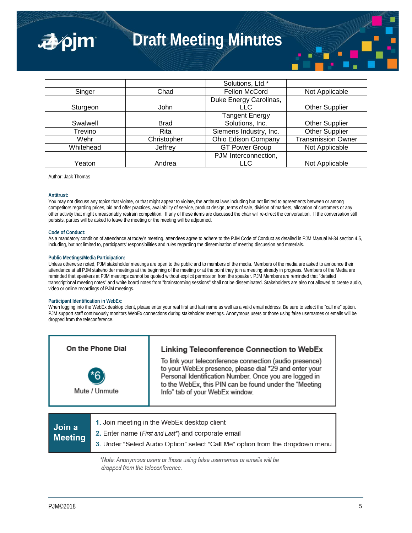

# **Draft Meeting Minutes**

|           |             | Solutions, Ltd.*       |                           |
|-----------|-------------|------------------------|---------------------------|
| Singer    | Chad        | Fellon McCord          | Not Applicable            |
|           |             | Duke Energy Carolinas, |                           |
| Sturgeon  | John        | <b>LLC</b>             | <b>Other Supplier</b>     |
|           |             | <b>Tangent Energy</b>  |                           |
| Swalwell  | <b>Brad</b> | Solutions, Inc.        | <b>Other Supplier</b>     |
| Trevino   | <b>Rita</b> | Siemens Industry, Inc. | Other Supplier            |
| Wehr      | Christopher | Ohio Edison Company    | <b>Transmission Owner</b> |
| Whitehead | Jeffrey     | <b>GT Power Group</b>  | Not Applicable            |
|           |             | PJM Interconnection,   |                           |
| Yeaton    | Andrea      | <b>LLC</b>             | Not Applicable            |

Author: Jack Thomas

#### **Antitrust:**

You may not discuss any topics that violate, or that might appear to violate, the antitrust laws including but not limited to agreements between or among competitors regarding prices, bid and offer practices, availability of service, product design, terms of sale, division of markets, allocation of customers or any other activity that might unreasonably restrain competition. If any of these items are discussed the chair will re-direct the conversation. If the conversation still persists, parties will be asked to leave the meeting or the meeting will be adjourned.

#### **Code of Conduct:**

As a mandatory condition of attendance at today's meeting, attendees agree to adhere to the PJM Code of Conduct as detailed in PJM Manual M-34 section 4.5, including, but not limited to, participants' responsibilities and rules regarding the dissemination of meeting discussion and materials.

#### **Public Meetings/Media Participation:**

Unless otherwise noted, PJM stakeholder meetings are open to the public and to members of the media. Members of the media are asked to announce their attendance at all PJM stakeholder meetings at the beginning of the meeting or at the point they join a meeting already in progress. Members of the Media are reminded that speakers at PJM meetings cannot be quoted without explicit permission from the speaker. PJM Members are reminded that "detailed transcriptional meeting notes" and white board notes from "brainstorming sessions" shall not be disseminated. Stakeholders are also not allowed to create audio, video or online recordings of PJM meetings.

#### **Participant Identification in WebEx:**

When logging into the WebEx desktop client, please enter your real first and last name as well as a valid email address. Be sure to select the "call me" option. PJM support staff continuously monitors WebEx connections during stakeholder meetings. Anonymous users or those using false usernames or emails will be dropped from the teleconference.

| On the Phone Dial        |                                                                                                                                                                                     | Linking Teleconference Connection to WebEx                                                                                                                                                                                                                               |  |
|--------------------------|-------------------------------------------------------------------------------------------------------------------------------------------------------------------------------------|--------------------------------------------------------------------------------------------------------------------------------------------------------------------------------------------------------------------------------------------------------------------------|--|
| Mute / Unmute            |                                                                                                                                                                                     | To link your teleconference connection (audio presence)<br>to your WebEx presence, please dial *29 and enter your<br>Personal Identification Number. Once you are logged in<br>to the WebEx, this PIN can be found under the "Meeting<br>Info" tab of your WebEx window. |  |
| Join a<br><b>Meeting</b> | 1. Join meeting in the WebEx desktop client<br>2. Enter name (First and Last*) and corporate email<br>3. Under "Select Audio Option" select "Call Me" option from the dropdown menu |                                                                                                                                                                                                                                                                          |  |

\*Note: Anonymous users or those using false usernames or emails will be dropped from the teleconference.